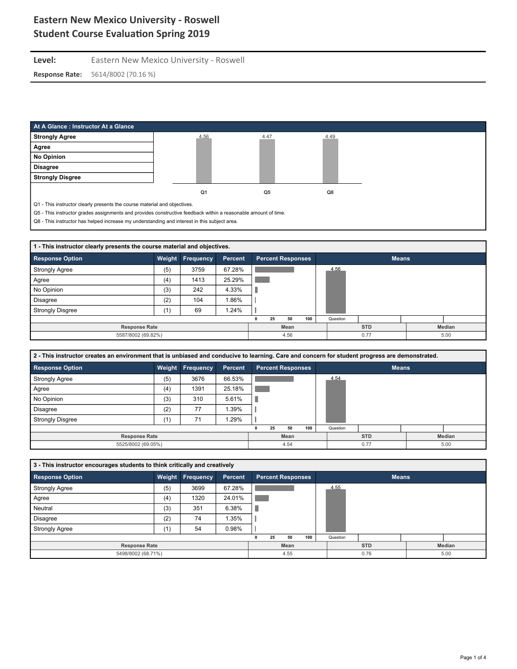### Level: Eastern New Mexico University - Roswell **Response Rate:** 5614/8002 (70.16 %)

| At A Glance: Instructor At a Glance                                                                            |                |      |      |
|----------------------------------------------------------------------------------------------------------------|----------------|------|------|
| <b>Strongly Agree</b>                                                                                          | 4.56           | 4.47 | 4.49 |
| Agree                                                                                                          |                |      |      |
| No Opinion                                                                                                     |                |      |      |
| <b>Disagree</b>                                                                                                |                |      |      |
| <b>Strongly Disgree</b>                                                                                        |                |      |      |
|                                                                                                                | Q <sub>1</sub> | Q5   | Q8   |
| Q1 - This instructor clearly presents the course material and objectives.                                      |                |      |      |
| Q5 - This instructor grades assignments and provides constructive feedback within a reasonable amount of time. |                |      |      |

Q8 - This instructor has helped increase my understanding and interest in this subject area.

| 1 - This instructor clearly presents the course material and objectives. |     |                  |         |      |                          |  |          |            |      |              |  |  |
|--------------------------------------------------------------------------|-----|------------------|---------|------|--------------------------|--|----------|------------|------|--------------|--|--|
| <b>Response Option</b>                                                   |     | Weight Frequency | Percent |      | <b>Percent Responses</b> |  |          |            |      | <b>Means</b> |  |  |
| <b>Strongly Agree</b>                                                    | (5) | 3759             | 67.28%  |      |                          |  |          |            | 4.56 |              |  |  |
| Agree                                                                    | (4) | 1413             | 25.29%  |      |                          |  |          |            |      |              |  |  |
| No Opinion                                                               | (3) | 242              | 4.33%   |      |                          |  |          |            |      |              |  |  |
| <b>Disagree</b>                                                          | (2) | 104              | 1.86%   |      |                          |  |          |            |      |              |  |  |
| <b>Strongly Disgree</b>                                                  | (1) | 69               | 1.24%   |      |                          |  |          |            |      |              |  |  |
|                                                                          |     |                  | 25      | 50   | 100                      |  | Question |            |      |              |  |  |
| <b>Response Rate</b>                                                     |     |                  |         | Mean |                          |  |          | <b>STD</b> |      | Median       |  |  |
| 5587/8002 (69.82%)                                                       |     |                  |         | 4.56 |                          |  |          | 0.77       |      | 5.00         |  |  |

| 2 - This instructor creates an environment that is unbiased and conducive to learning. Care and concern for student progress are demonstrated. |     |                         |         |      |     |                          |          |      |        |              |  |  |
|------------------------------------------------------------------------------------------------------------------------------------------------|-----|-------------------------|---------|------|-----|--------------------------|----------|------|--------|--------------|--|--|
| <b>Response Option</b>                                                                                                                         |     | <b>Weight Frequency</b> | Percent |      |     | <b>Percent Responses</b> |          |      |        | <b>Means</b> |  |  |
| <b>Strongly Agree</b>                                                                                                                          | (5) | 3676                    | 66.53%  |      |     |                          |          |      | 4.54   |              |  |  |
| Agree                                                                                                                                          | (4) | 1391                    | 25.18%  |      |     |                          |          |      |        |              |  |  |
| No Opinion                                                                                                                                     | (3) | 310                     | 5.61%   |      |     |                          |          |      |        |              |  |  |
| <b>Disagree</b>                                                                                                                                | (2) | 77                      | 1.39%   |      |     |                          |          |      |        |              |  |  |
| <b>Strongly Disgree</b>                                                                                                                        | (1) | 71                      | 1.29%   |      |     |                          |          |      |        |              |  |  |
|                                                                                                                                                |     |                         | 25      | 50   | 100 |                          | Question |      |        |              |  |  |
| <b>Response Rate</b>                                                                                                                           |     | Mean                    |         |      |     | <b>STD</b>               |          |      | Median |              |  |  |
| 5525/8002 (69.05%)                                                                                                                             |     |                         |         | 4.54 |     |                          |          | 0.77 |        | 5.00         |  |  |

| 3 - This instructor encourages students to think critically and creatively |     |                  |                |      |                      |            |                          |  |               |              |  |  |
|----------------------------------------------------------------------------|-----|------------------|----------------|------|----------------------|------------|--------------------------|--|---------------|--------------|--|--|
| <b>Response Option</b>                                                     |     | Weight Frequency | <b>Percent</b> |      |                      |            | <b>Percent Responses</b> |  |               | <b>Means</b> |  |  |
| <b>Strongly Agree</b>                                                      | (5) | 3699             | 67.28%         |      |                      |            |                          |  | 4.55          |              |  |  |
| Agree                                                                      | (4) | 1320             | 24.01%         |      |                      |            |                          |  |               |              |  |  |
| Neutral                                                                    | (3) | 351              | 6.38%          |      |                      |            |                          |  |               |              |  |  |
| <b>Disagree</b>                                                            | (2) | 74               | .35%           |      |                      |            |                          |  |               |              |  |  |
| <b>Strongly Agree</b>                                                      | (1) | 54               | 0.98%          |      |                      |            |                          |  |               |              |  |  |
|                                                                            |     |                  |                |      | 25                   | 50         | 100                      |  | Question      |              |  |  |
| <b>Response Rate</b>                                                       |     |                  |                | Mean |                      | <b>STD</b> |                          |  | <b>Median</b> |              |  |  |
| 5498/8002 (68.71%)                                                         |     |                  |                |      | 4.55<br>0.76<br>5.00 |            |                          |  |               |              |  |  |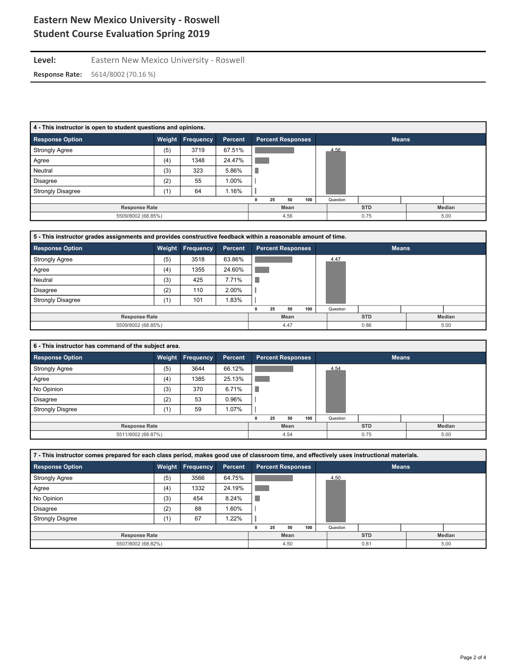Level: Eastern New Mexico University - Roswell

**Response Rate:** 5614/8002 (70.16 %)

| 4 - This instructor is open to student questions and opinions. |        |           |         |                          |              |        |  |  |  |  |  |  |
|----------------------------------------------------------------|--------|-----------|---------|--------------------------|--------------|--------|--|--|--|--|--|--|
| Response Option                                                | Weight | Frequency | Percent | <b>Percent Responses</b> | <b>Means</b> |        |  |  |  |  |  |  |
| <b>Strongly Agree</b>                                          | (5)    | 3719      | 67.51%  |                          | 4.56         |        |  |  |  |  |  |  |
| Agree                                                          | (4)    | 1348      | 24.47%  |                          |              |        |  |  |  |  |  |  |
| Neutral                                                        | (3)    | 323       | 5.86%   |                          |              |        |  |  |  |  |  |  |
| <b>Disagree</b>                                                | (2)    | 55        | 1.00%   |                          |              |        |  |  |  |  |  |  |
| <b>Strongly Disagree</b>                                       | (1)    | 64        | 1.16%   |                          |              |        |  |  |  |  |  |  |
|                                                                |        |           |         | 100<br>25<br>50          | Question     |        |  |  |  |  |  |  |
| <b>Response Rate</b>                                           |        |           |         | Mean                     | <b>STD</b>   | Median |  |  |  |  |  |  |
| 5509/8002 (68.85%)                                             |        |           |         | 4.56                     | 0.75         | 5.00   |  |  |  |  |  |  |

| 5 - This instructor grades assignments and provides constructive feedback within a reasonable amount of time. |     |                  |         |      |    |                          |     |            |          |              |  |      |
|---------------------------------------------------------------------------------------------------------------|-----|------------------|---------|------|----|--------------------------|-----|------------|----------|--------------|--|------|
| <b>Response Option</b>                                                                                        |     | Weight Frequency | Percent |      |    | <b>Percent Responses</b> |     |            |          | <b>Means</b> |  |      |
| <b>Strongly Agree</b>                                                                                         | (5) | 3518             | 63.86%  |      |    |                          |     |            | 4.47     |              |  |      |
| Agree                                                                                                         | (4) | 1355             | 24.60%  |      |    |                          |     |            |          |              |  |      |
| Neutral                                                                                                       | (3) | 425              | 7.71%   |      |    |                          |     |            |          |              |  |      |
| <b>Disagree</b>                                                                                               | (2) | 110              | 2.00%   |      |    |                          |     |            |          |              |  |      |
| <b>Strongly Disagree</b>                                                                                      | (1) | 101              | 1.83%   |      |    |                          |     |            |          |              |  |      |
|                                                                                                               |     |                  |         |      | 25 | 50                       | 100 |            | Question |              |  |      |
| <b>Response Rate</b>                                                                                          |     |                  |         | Mean |    |                          |     | <b>STD</b> |          | Median       |  |      |
| 5509/8002 (68.85%)                                                                                            |     |                  |         |      |    | 4.47                     |     |            |          | 0.86         |  | 5.00 |

| 6 - This instructor has command of the subject area. |     |                  |         |  |    |                          |     |  |          |              |  |        |
|------------------------------------------------------|-----|------------------|---------|--|----|--------------------------|-----|--|----------|--------------|--|--------|
| <b>Response Option</b>                               |     | Weight Frequency | Percent |  |    | <b>Percent Responses</b> |     |  |          | <b>Means</b> |  |        |
| <b>Strongly Agree</b>                                | (5) | 3644             | 66.12%  |  |    |                          |     |  | 4.54     |              |  |        |
| Agree                                                | (4) | 1385             | 25.13%  |  |    |                          |     |  |          |              |  |        |
| No Opinion                                           | (3) | 370              | 6.71%   |  |    |                          |     |  |          |              |  |        |
| <b>Disagree</b>                                      | (2) | 53               | 0.96%   |  |    |                          |     |  |          |              |  |        |
| <b>Strongly Disgree</b>                              | (1) | 59               | 1.07%   |  |    |                          |     |  |          |              |  |        |
|                                                      |     |                  |         |  | 25 | 50                       | 100 |  | Question |              |  |        |
| <b>Response Rate</b>                                 |     |                  |         |  |    | Mean                     |     |  |          | <b>STD</b>   |  | Median |
| 5511/8002 (68.87%)                                   |     |                  |         |  |    | 4.54                     |     |  |          | 0.75         |  | 5.00   |

| 7 - This instructor comes prepared for each class period, makes good use of classroom time, and effectively uses instructional materials. |     |                  |         |      |    |                          |     |            |          |              |  |      |
|-------------------------------------------------------------------------------------------------------------------------------------------|-----|------------------|---------|------|----|--------------------------|-----|------------|----------|--------------|--|------|
| <b>Response Option</b>                                                                                                                    |     | Weight Frequency | Percent |      |    | <b>Percent Responses</b> |     |            |          | <b>Means</b> |  |      |
| <b>Strongly Agree</b>                                                                                                                     | (5) | 3566             | 64.75%  |      |    |                          |     |            | 4.50     |              |  |      |
| Agree                                                                                                                                     | (4) | 1332             | 24.19%  |      |    |                          |     |            |          |              |  |      |
| No Opinion                                                                                                                                | (3) | 454              | 8.24%   |      |    |                          |     |            |          |              |  |      |
| <b>Disagree</b>                                                                                                                           | (2) | 88               | 1.60%   |      |    |                          |     |            |          |              |  |      |
| <b>Strongly Disgree</b>                                                                                                                   | (1) | 67               | 1.22%   |      |    |                          |     |            |          |              |  |      |
|                                                                                                                                           |     |                  |         |      | 25 | 50                       | 100 |            | Question |              |  |      |
| <b>Response Rate</b>                                                                                                                      |     |                  |         | Mean |    |                          |     | <b>STD</b> |          | Median       |  |      |
| 5507/8002 (68.82%)                                                                                                                        |     |                  |         |      |    | 4.50                     |     |            |          | 0.81         |  | 5.00 |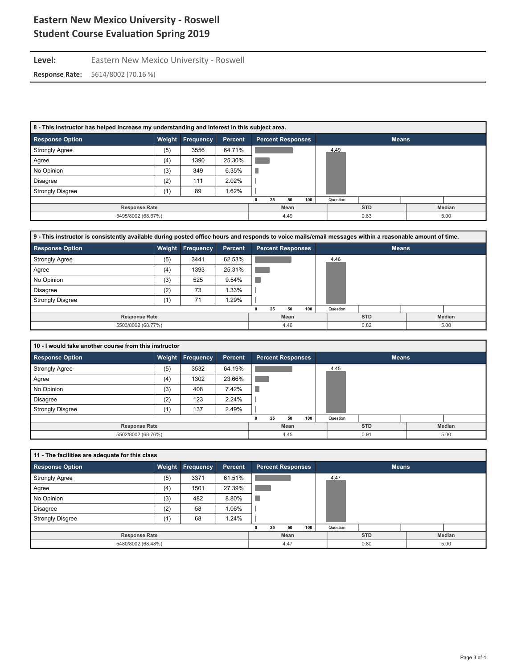Level: Eastern New Mexico University - Roswell

**Response Rate:** 5614/8002 (70.16 %)

| 8 - This instructor has helped increase my understanding and interest in this subject area. |        |                  |         |      |     |            |                          |      |      |              |  |  |
|---------------------------------------------------------------------------------------------|--------|------------------|---------|------|-----|------------|--------------------------|------|------|--------------|--|--|
| <b>Response Option</b>                                                                      | Weight | <b>Frequency</b> | Percent |      |     |            | <b>Percent Responses</b> |      |      | <b>Means</b> |  |  |
| <b>Strongly Agree</b>                                                                       | (5)    | 3556             | 64.71%  |      |     |            |                          |      | 4.49 |              |  |  |
| Agree                                                                                       | (4)    | 1390             | 25.30%  |      |     |            |                          |      |      |              |  |  |
| No Opinion                                                                                  | (3)    | 349              | 6.35%   |      |     |            |                          |      |      |              |  |  |
| <b>Disagree</b>                                                                             | (2)    | 111              | 2.02%   |      |     |            |                          |      |      |              |  |  |
| <b>Strongly Disgree</b>                                                                     | (1)    | 89               | 1.62%   |      |     |            |                          |      |      |              |  |  |
|                                                                                             |        |                  | 25      | 50   | 100 |            | Question                 |      |      |              |  |  |
| <b>Response Rate</b>                                                                        |        | Mean             |         |      |     | <b>STD</b> |                          |      |      | Median       |  |  |
| 5495/8002 (68.67%)                                                                          |        |                  |         | 4.49 |     |            |                          | 0.83 |      | 5.00         |  |  |

| 9 - This instructor is consistently available during posted office hours and responds to voice mails/email messages within a reasonable amount of time. |     |                         |         |      |    |                          |     |            |          |               |  |      |
|---------------------------------------------------------------------------------------------------------------------------------------------------------|-----|-------------------------|---------|------|----|--------------------------|-----|------------|----------|---------------|--|------|
| <b>Response Option</b>                                                                                                                                  |     | <b>Weight Frequency</b> | Percent |      |    | <b>Percent Responses</b> |     |            |          | <b>Means</b>  |  |      |
| <b>Strongly Agree</b>                                                                                                                                   | (5) | 3441                    | 62.53%  |      |    |                          |     |            | 4.46     |               |  |      |
| Agree                                                                                                                                                   | (4) | 1393                    | 25.31%  |      |    |                          |     |            |          |               |  |      |
| No Opinion                                                                                                                                              | (3) | 525                     | 9.54%   |      |    |                          |     |            |          |               |  |      |
| Disagree                                                                                                                                                | (2) | 73                      | 1.33%   |      |    |                          |     |            |          |               |  |      |
| <b>Strongly Disgree</b>                                                                                                                                 | (1) | 71                      | .29%    |      |    |                          |     |            |          |               |  |      |
|                                                                                                                                                         |     |                         |         |      | 25 | 50                       | 100 |            | Question |               |  |      |
| <b>Response Rate</b>                                                                                                                                    |     |                         |         | Mean |    |                          |     | <b>STD</b> |          | <b>Median</b> |  |      |
| 5503/8002 (68.77%)                                                                                                                                      |     |                         |         |      |    | 4.46                     |     |            |          | 0.82          |  | 5.00 |

|                         | 10 - I would take another course from this instructor |                         |                |  |    |                          |     |  |          |              |  |        |  |
|-------------------------|-------------------------------------------------------|-------------------------|----------------|--|----|--------------------------|-----|--|----------|--------------|--|--------|--|
| <b>Response Option</b>  |                                                       | <b>Weight Frequency</b> | <b>Percent</b> |  |    | <b>Percent Responses</b> |     |  |          | <b>Means</b> |  |        |  |
| <b>Strongly Agree</b>   | (5)                                                   | 3532                    | 64.19%         |  |    |                          |     |  | 4.45     |              |  |        |  |
| Agree                   | (4)                                                   | 1302                    | 23.66%         |  |    |                          |     |  |          |              |  |        |  |
| No Opinion              | (3)                                                   | 408                     | 7.42%          |  |    |                          |     |  |          |              |  |        |  |
| <b>Disagree</b>         | (2)                                                   | 123                     | 2.24%          |  |    |                          |     |  |          |              |  |        |  |
| <b>Strongly Disgree</b> | (1)                                                   | 137                     | 2.49%          |  |    |                          |     |  |          |              |  |        |  |
|                         |                                                       |                         |                |  | 25 | 50                       | 100 |  | Question |              |  |        |  |
| <b>Response Rate</b>    |                                                       |                         |                |  |    | Mean                     |     |  |          | <b>STD</b>   |  | Median |  |
| 5502/8002 (68.76%)      |                                                       |                         |                |  |    | 4.45                     |     |  |          | 0.91         |  | 5.00   |  |

| 11 - The facilities are adequate for this class |     |                  |         |                      |      |                          |     |  |            |              |        |  |
|-------------------------------------------------|-----|------------------|---------|----------------------|------|--------------------------|-----|--|------------|--------------|--------|--|
| <b>Response Option</b>                          |     | Weight Frequency | Percent |                      |      | <b>Percent Responses</b> |     |  |            | <b>Means</b> |        |  |
| <b>Strongly Agree</b>                           | (5) | 3371             | 61.51%  |                      |      |                          |     |  | 4.47       |              |        |  |
| Agree                                           | (4) | 1501             | 27.39%  |                      |      |                          |     |  |            |              |        |  |
| No Opinion                                      | (3) | 482              | 8.80%   |                      |      |                          |     |  |            |              |        |  |
| <b>Disagree</b>                                 | (2) | 58               | 1.06%   |                      |      |                          |     |  |            |              |        |  |
| <b>Strongly Disgree</b>                         | (1) | 68               | 1.24%   |                      |      |                          |     |  |            |              |        |  |
|                                                 |     |                  |         |                      | 25   | 50                       | 100 |  | Question   |              |        |  |
| <b>Response Rate</b>                            |     |                  |         |                      | Mean |                          |     |  | <b>STD</b> |              | Median |  |
| 5480/8002 (68.48%)                              |     |                  |         | 0.80<br>4.47<br>5.00 |      |                          |     |  |            |              |        |  |